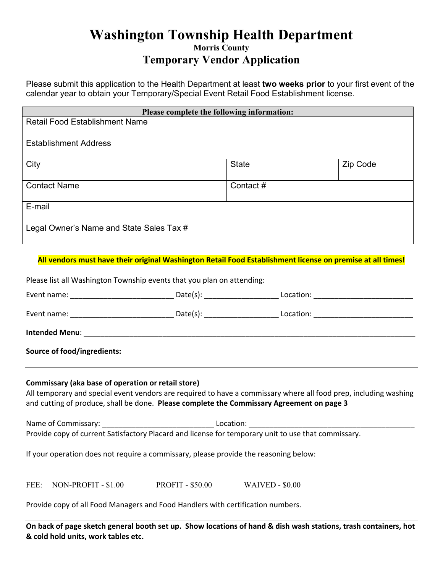## **Washington Township Health Department Morris County**

## **Temporary Vendor Application**

Please submit this application to the Health Department at least **two weeks prior** to your first event of the calendar year to obtain your Temporary/Special Event Retail Food Establishment license.

| Please complete the following information: |          |          |  |
|--------------------------------------------|----------|----------|--|
| <b>Retail Food Establishment Name</b>      |          |          |  |
|                                            |          |          |  |
| <b>Establishment Address</b>               |          |          |  |
| City                                       | State    | Zip Code |  |
| <b>Contact Name</b>                        | Contact# |          |  |
| E-mail                                     |          |          |  |
| Legal Owner's Name and State Sales Tax #   |          |          |  |

**All vendors must have their original Washington Retail Food Establishment license on premise at all times!**

Please list all Washington Township events that you plan on attending:

|                                                                                                                                                                                                                                                                     | Date(s):                         | Location: <u>2000 - 2000</u> |  |  |  |
|---------------------------------------------------------------------------------------------------------------------------------------------------------------------------------------------------------------------------------------------------------------------|----------------------------------|------------------------------|--|--|--|
|                                                                                                                                                                                                                                                                     | Date(s): _______________________ |                              |  |  |  |
|                                                                                                                                                                                                                                                                     |                                  |                              |  |  |  |
| <b>Source of food/ingredients:</b>                                                                                                                                                                                                                                  |                                  |                              |  |  |  |
| Commissary (aka base of operation or retail store)<br>All temporary and special event vendors are required to have a commissary where all food prep, including washing<br>and cutting of produce, shall be done. Please complete the Commissary Agreement on page 3 |                                  |                              |  |  |  |

Name of Commissary: \_\_\_\_\_\_\_\_\_\_\_\_\_\_\_\_\_\_\_\_\_\_\_\_\_\_\_ Location: \_\_\_\_\_\_\_\_\_\_\_\_\_\_\_\_\_\_\_\_\_\_\_\_\_\_\_\_\_\_\_\_\_\_\_\_\_\_\_\_ Provide copy of current Satisfactory Placard and license for temporary unit to use that commissary.

If your operation does not require a commissary, please provide the reasoning below:

FEE: NON-PROFIT - \$1.00 PROFIT - \$50.00 WAIVED - \$0.00

Provide copy of all Food Managers and Food Handlers with certification numbers.

On back of page sketch general booth set up. Show locations of hand & dish wash stations, trash containers, hot **& cold hold units, work tables etc.**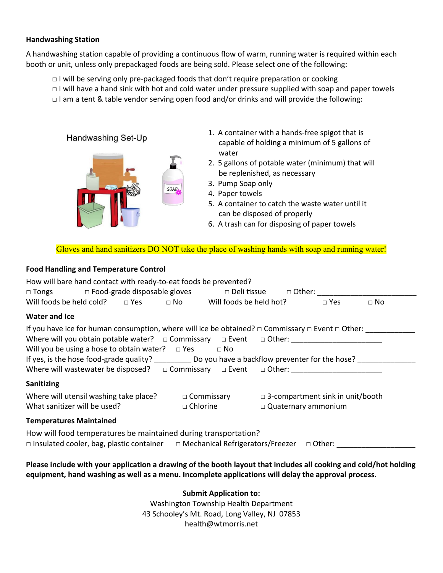#### **Handwashing Station**

A handwashing station capable of providing a continuous flow of warm, running water is required within each booth or unit, unless only prepackaged foods are being sold. Please select one of the following:

- □ I will be serving only pre‐packaged foods that don't require preparation or cooking
- $\Box$  I will have a hand sink with hot and cold water under pressure supplied with soap and paper towels
- $\Box$  I am a tent & table vendor serving open food and/or drinks and will provide the following:

Handwashing Set-Up



- 1. A container with a hands‐free spigot that is capable of holding a minimum of 5 gallons of water
- 2. 5 gallons of potable water (minimum) that will be replenished, as necessary
- 3. Pump Soap only
- 4. Paper towels
- 5. A container to catch the waste water until it can be disposed of properly
- 6. A trash can for disposing of paper towels

Gloves and hand sanitizers DO NOT take the place of washing hands with soap and running water!

### **Food Handling and Temperature Control**

| How will bare hand contact with ready-to-eat foods be prevented?                                                                                                                                                                                                              |                                      |                                                                       |           |
|-------------------------------------------------------------------------------------------------------------------------------------------------------------------------------------------------------------------------------------------------------------------------------|--------------------------------------|-----------------------------------------------------------------------|-----------|
| □ Tongs  □ Food-grade disposable gloves  □ Deli tissue □ Other:  □ Tongs □                                                                                                                                                                                                    |                                      |                                                                       |           |
| Will foods be held cold? $\square$ Yes $\square$ No Will foods be held hot?                                                                                                                                                                                                   |                                      | $\Box$ Yes                                                            | $\Box$ No |
| <b>Water and Ice</b>                                                                                                                                                                                                                                                          |                                      |                                                                       |           |
| If you have ice for human consumption, where will ice be obtained? $\Box$ Commissary $\Box$ Event $\Box$ Other:<br>Will you be using a hose to obtain water? $\Box$ Yes $\Box$ No<br>Where will wastewater be disposed? $\square$ Commissary $\square$ Event $\square$ Other: |                                      |                                                                       |           |
| <b>Sanitizing</b>                                                                                                                                                                                                                                                             |                                      |                                                                       |           |
| Where will utensil washing take place?<br>What sanitizer will be used?                                                                                                                                                                                                        | $\Box$ Commissary<br>$\Box$ Chlorine | $\Box$ 3-compartment sink in unit/booth<br>$\Box$ Quaternary ammonium |           |
| <b>Temperatures Maintained</b>                                                                                                                                                                                                                                                |                                      |                                                                       |           |
| How will food temperatures be maintained during transportation?<br>□ Insulated cooler, bag, plastic container $□$ Mechanical Refrigerators/Freezer $□$ Other:                                                                                                                 |                                      |                                                                       |           |
| Please include with your annication a drawing of the booth layout that includes all cooking and cold/hot holding                                                                                                                                                              |                                      |                                                                       |           |

include with your application a drawing of the booth layout that includes all cooking and cold/hot holding **equipment, hand washing as well as a menu. Incomplete applications will delay the approval process.** 

**Submit Application to:**

Washington Township Health Department 43 Schooley's Mt. Road, Long Valley, NJ 07853 health@wtmorris.net